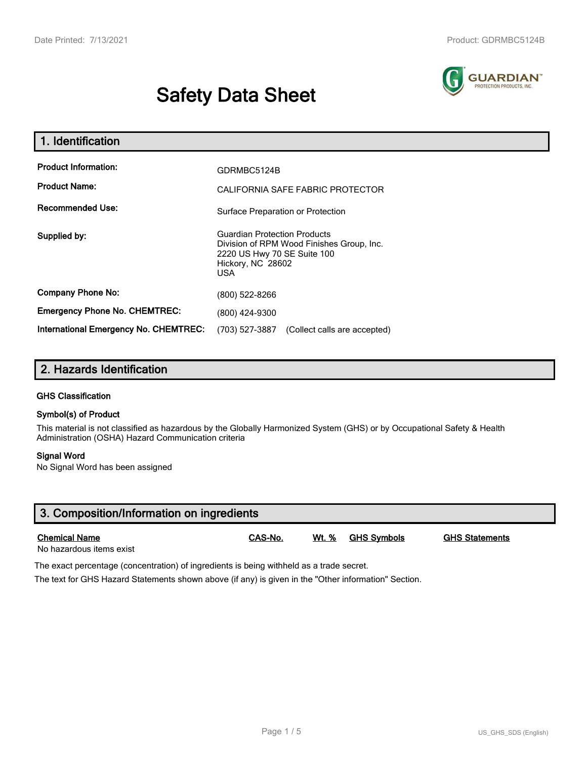# **Safety Data Sheet**



| 1. Identification                                   |                                                                                                                                                    |  |  |
|-----------------------------------------------------|----------------------------------------------------------------------------------------------------------------------------------------------------|--|--|
| <b>Product Information:</b><br><b>Product Name:</b> | GDRMBC5124B<br>CALIFORNIA SAFE FABRIC PROTECTOR                                                                                                    |  |  |
| <b>Recommended Use:</b>                             | Surface Preparation or Protection                                                                                                                  |  |  |
| Supplied by:                                        | <b>Guardian Protection Products</b><br>Division of RPM Wood Finishes Group, Inc.<br>2220 US Hwy 70 SE Suite 100<br>Hickory, NC 28602<br><b>USA</b> |  |  |
| <b>Company Phone No:</b>                            | (800) 522-8266                                                                                                                                     |  |  |
| <b>Emergency Phone No. CHEMTREC:</b>                | (800) 424-9300                                                                                                                                     |  |  |
| <b>International Emergency No. CHEMTREC:</b>        | (703) 527-3887<br>(Collect calls are accepted)                                                                                                     |  |  |

## **2. Hazards Identification**

#### **GHS Classification**

#### **Symbol(s) of Product**

This material is not classified as hazardous by the Globally Harmonized System (GHS) or by Occupational Safety & Health Administration (OSHA) Hazard Communication criteria

#### **Signal Word**

No Signal Word has been assigned

| 3. Composition/Information on ingredients        |         |       |             |                       |  |
|--------------------------------------------------|---------|-------|-------------|-----------------------|--|
| <b>Chemical Name</b><br>No hazardous items exist | CAS-No. | Wt. % | GHS Symbols | <b>GHS Statements</b> |  |

The exact percentage (concentration) of ingredients is being withheld as a trade secret.

The text for GHS Hazard Statements shown above (if any) is given in the "Other information" Section.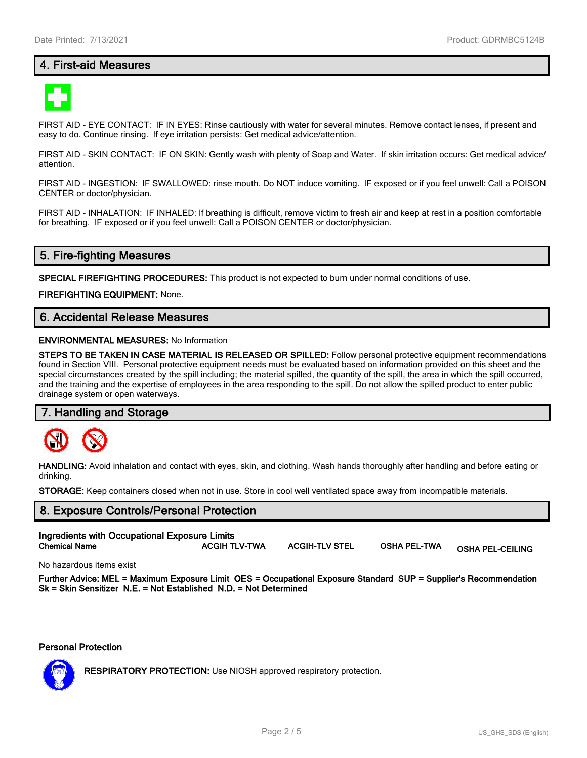## **4. First-aid Measures**



FIRST AID - EYE CONTACT: IF IN EYES: Rinse cautiously with water for several minutes. Remove contact lenses, if present and easy to do. Continue rinsing. If eye irritation persists: Get medical advice/attention.

FIRST AID - SKIN CONTACT: IF ON SKIN: Gently wash with plenty of Soap and Water. If skin irritation occurs: Get medical advice/ attention.

FIRST AID - INGESTION: IF SWALLOWED: rinse mouth. Do NOT induce vomiting. IF exposed or if you feel unwell: Call a POISON CENTER or doctor/physician.

FIRST AID - INHALATION: IF INHALED: If breathing is difficult, remove victim to fresh air and keep at rest in a position comfortable for breathing. IF exposed or if you feel unwell: Call a POISON CENTER or doctor/physician.

## **5. Fire-fighting Measures**

**SPECIAL FIREFIGHTING PROCEDURES:** This product is not expected to burn under normal conditions of use.

**FIREFIGHTING EQUIPMENT:** None.

## **6. Accidental Release Measures**

#### **ENVIRONMENTAL MEASURES:** No Information

**STEPS TO BE TAKEN IN CASE MATERIAL IS RELEASED OR SPILLED:** Follow personal protective equipment recommendations found in Section VIII. Personal protective equipment needs must be evaluated based on information provided on this sheet and the special circumstances created by the spill including; the material spilled, the quantity of the spill, the area in which the spill occurred, and the training and the expertise of employees in the area responding to the spill. Do not allow the spilled product to enter public drainage system or open waterways.

#### **7. Handling and Storage**



**HANDLING:** Avoid inhalation and contact with eyes, skin, and clothing. Wash hands thoroughly after handling and before eating or drinking.

**STORAGE:** Keep containers closed when not in use. Store in cool well ventilated space away from incompatible materials.

## **8. Exposure Controls/Personal Protection Ingredients with Occupational Exposure Limits**

**Chemical Name ACGIH TLV-TWA ACGIH-TLV STEL OSHA PEL-TWA OSHA PEL-CEILING**

No hazardous items exist

**Further Advice: MEL = Maximum Exposure Limit OES = Occupational Exposure Standard SUP = Supplier's Recommendation Sk = Skin Sensitizer N.E. = Not Established N.D. = Not Determined**

#### **Personal Protection**



**RESPIRATORY PROTECTION:** Use NIOSH approved respiratory protection.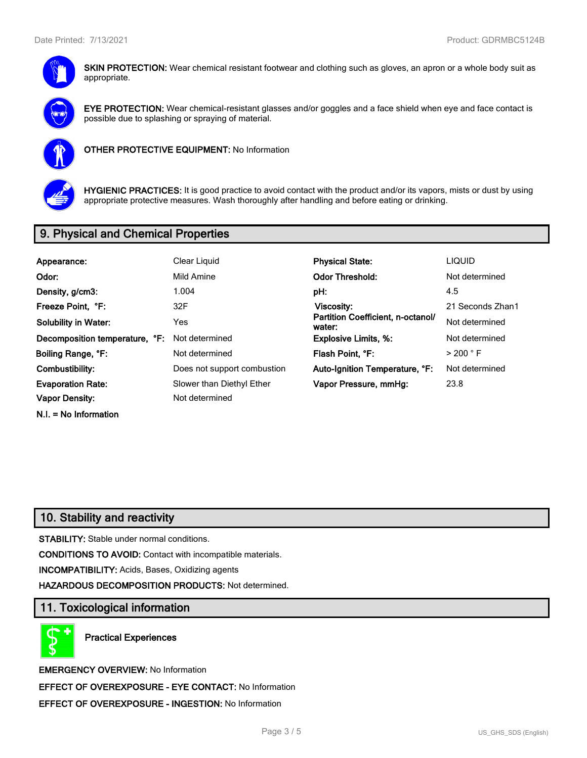

**SKIN PROTECTION:** Wear chemical resistant footwear and clothing such as gloves, an apron or a whole body suit as appropriate.



**EYE PROTECTION:** Wear chemical-resistant glasses and/or goggles and a face shield when eye and face contact is possible due to splashing or spraying of material.



**OTHER PROTECTIVE EQUIPMENT:** No Information



**HYGIENIC PRACTICES:** It is good practice to avoid contact with the product and/or its vapors, mists or dust by using appropriate protective measures. Wash thoroughly after handling and before eating or drinking.

## **9. Physical and Chemical Properties**

| Appearance:                    | Clear Liquid                | <b>Physical State:</b>                      | <b>LIQUID</b>        |
|--------------------------------|-----------------------------|---------------------------------------------|----------------------|
| Odor:                          | Mild Amine                  | <b>Odor Threshold:</b>                      | Not determined       |
| Density, g/cm3:                | 1.004                       | pH:                                         | 4.5                  |
| Freeze Point, °F:              | 32F                         | Viscosity:                                  | 21 Seconds Zhan1     |
| <b>Solubility in Water:</b>    | Yes                         | Partition Coefficient, n-octanol/<br>water: | Not determined       |
| Decomposition temperature, °F: | Not determined              | <b>Explosive Limits, %:</b>                 | Not determined       |
| Boiling Range, °F:             | Not determined              | Flash Point, °F:                            | $>$ 200 $^{\circ}$ F |
| Combustibility:                | Does not support combustion | Auto-Ignition Temperature, °F:              | Not determined       |
| <b>Evaporation Rate:</b>       | Slower than Diethyl Ether   | Vapor Pressure, mmHq:                       | 23.8                 |
| Vapor Density:                 | Not determined              |                                             |                      |

**N.I. = No Information**

## **10. Stability and reactivity**

**STABILITY:** Stable under normal conditions.

**CONDITIONS TO AVOID:** Contact with incompatible materials.

**INCOMPATIBILITY:** Acids, Bases, Oxidizing agents

**HAZARDOUS DECOMPOSITION PRODUCTS:** Not determined.

## **11. Toxicological information**

**Practical Experiences**

**EMERGENCY OVERVIEW:** No Information **EFFECT OF OVEREXPOSURE - EYE CONTACT:** No Information **EFFECT OF OVEREXPOSURE - INGESTION:** No Information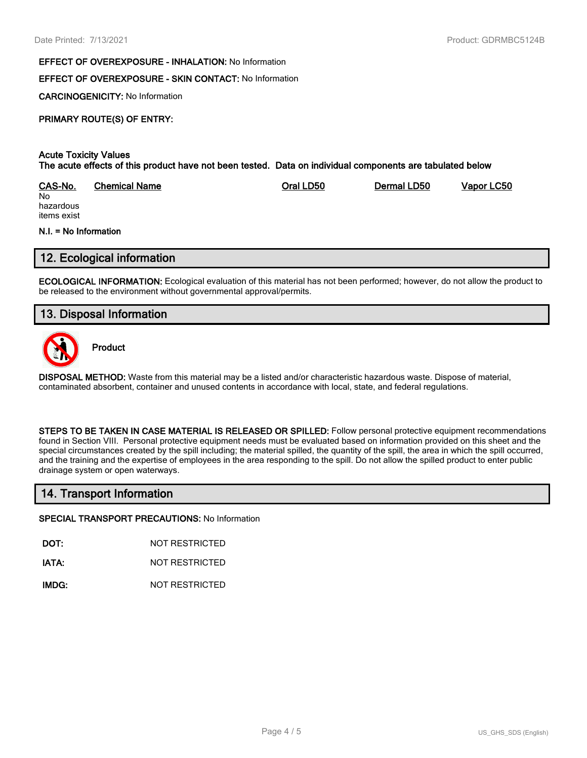#### **EFFECT OF OVEREXPOSURE - INHALATION:** No Information

## **EFFECT OF OVEREXPOSURE - SKIN CONTACT:** No Information

**CARCINOGENICITY:** No Information

## **PRIMARY ROUTE(S) OF ENTRY:**

#### **Acute Toxicity Values The acute effects of this product have not been tested. Data on individual components are tabulated below**

| CAS-No.   | <b>Chemical Name</b> | Oral LD50 | Dermal LD50 | Vapor LC50 |
|-----------|----------------------|-----------|-------------|------------|
| No        |                      |           |             |            |
| hazardous |                      |           |             |            |

hazardous items exist

#### **N.I. = No Information**

## **12. Ecological information**

**ECOLOGICAL INFORMATION:** Ecological evaluation of this material has not been performed; however, do not allow the product to be released to the environment without governmental approval/permits.

## **13. Disposal Information**



**Product**

**DISPOSAL METHOD:** Waste from this material may be a listed and/or characteristic hazardous waste. Dispose of material, contaminated absorbent, container and unused contents in accordance with local, state, and federal regulations.

**STEPS TO BE TAKEN IN CASE MATERIAL IS RELEASED OR SPILLED:** Follow personal protective equipment recommendations found in Section VIII. Personal protective equipment needs must be evaluated based on information provided on this sheet and the special circumstances created by the spill including; the material spilled, the quantity of the spill, the area in which the spill occurred, and the training and the expertise of employees in the area responding to the spill. Do not allow the spilled product to enter public drainage system or open waterways.

## **14. Transport Information**

#### **SPECIAL TRANSPORT PRECAUTIONS:** No Information

**DOT:** NOT RESTRICTED

**IATA:** NOT RESTRICTED

**IMDG:** NOT RESTRICTED